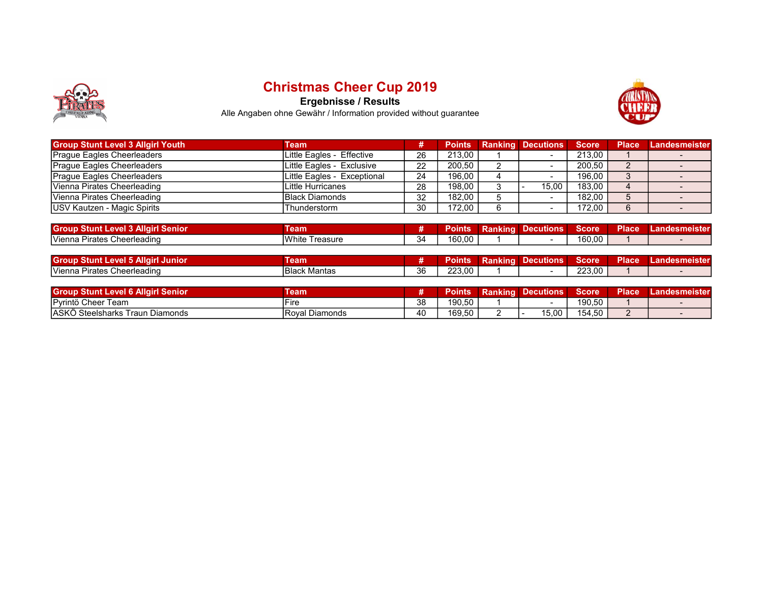

## Christmas Cheer Cup 2019

Ergebnisse / Results



Alle Angaben ohne Gewähr / Information provided without guarantee

| <b>Group Stunt Level 3 Allgirl Youth</b> | Team                        |    | <b>Points</b> | <b>Ranking Decutions</b> | Score <sup>1</sup> | <b>Place</b> | Landesmeister |
|------------------------------------------|-----------------------------|----|---------------|--------------------------|--------------------|--------------|---------------|
| <b>Prague Eagles Cheerleaders</b>        | Little Eagles - Effective   | 26 | 213.00        |                          | 213.00             |              |               |
| <b>Prague Eagles Cheerleaders</b>        | Little Eagles - Exclusive   | 22 | 200,50        |                          | 200,50             |              |               |
| <b>Prague Eagles Cheerleaders</b>        | Little Eagles - Exceptional | 24 | 196,00        |                          | 196.00             |              |               |
| IVienna Pirates Cheerleading             | Little Hurricanes           | 28 | 198.00        | 15.00                    | 183.00             |              |               |
| Vienna Pirates Cheerleading              | <b>Black Diamonds</b>       | 32 | 182.00        |                          | 182.00             |              |               |
| USV Kautzen - Magic Spirits              | Thunderstorm                | 30 | 172.00        |                          | 172.00             |              |               |

| <b>Group Stunt</b><br><b>Allair</b><br>Level 3'<br>Senior | eam               |    | Points | _<br>Ranking | Decutions | Score  | <b>Place</b> | _and<br>les me.<br><b>ISter</b> |
|-----------------------------------------------------------|-------------------|----|--------|--------------|-----------|--------|--------------|---------------------------------|
| lVienna.<br>Cheerleading<br>. Pirates                     | White<br>Freasure | 34 | 160.00 |              |           | 160,00 |              |                                 |

| <b>Group Stunt L</b><br>ΛH<br><b>Junion</b><br>Level I<br>out | ⊺eam                      |              | 'oınts | Rankind | <b>Decutions</b> | Score  | <b>Place</b> | ndesmeister |
|---------------------------------------------------------------|---------------------------|--------------|--------|---------|------------------|--------|--------------|-------------|
| Vienna Pi<br>Cheerleading<br>burates ∪                        | <b>IBlack</b><br>. Mantas | $\sim$<br>36 | 223.00 |         |                  | 223,00 |              |             |

| <b>Group</b><br><b>Senior</b><br>: Level 6 Allairl<br><b>Stunt</b> | eam                                               |                                          | oints' | <b>Ranking</b> | <b>Decutions</b> | <b>Score</b> | <b>Place</b> | Landesmeister |
|--------------------------------------------------------------------|---------------------------------------------------|------------------------------------------|--------|----------------|------------------|--------------|--------------|---------------|
| <b>IPvrintö</b><br>Cheer<br>l eam                                  |                                                   | ററ<br>ບບ                                 | 190.50 |                |                  | 190.50       |              |               |
| laskö<br>√Steelsharks<br>Traun<br>. Diamonds                       | $\overline{\phantom{a}}$<br>∣ Diamonds<br>I Roval | $\Lambda$ <sup><math>\Omega</math></sup> | 169,50 |                | 15,00            | 154,50       |              |               |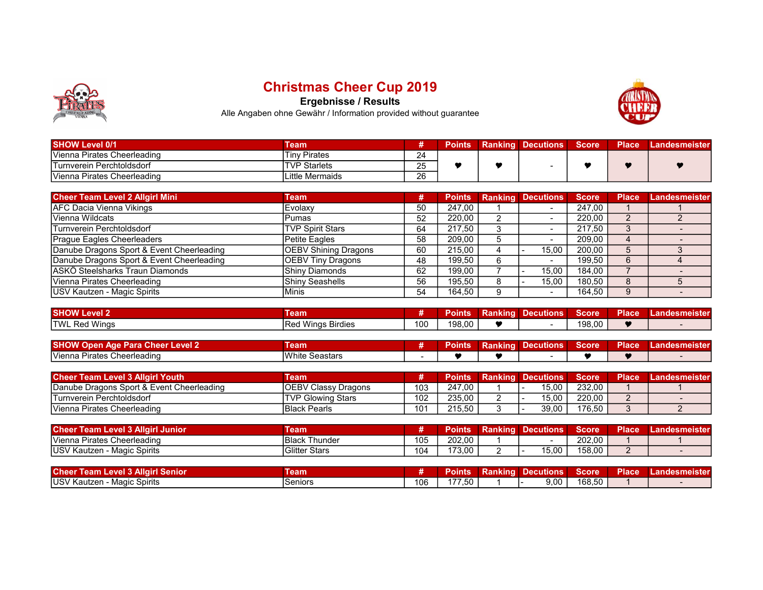

## Christmas Cheer Cup 2019

Ergebnisse / Results



Alle Angaben ohne Gewähr / Information provided without guarantee

| <b>SHOW Level 0/1</b>            | Team                |          | <b>Points</b> | <b>Ranking</b> | <b>N</b> Decutions | Score | <b>Place</b> | Landesmeister |
|----------------------------------|---------------------|----------|---------------|----------------|--------------------|-------|--------------|---------------|
| IVienna Pirates Cheerleading     | <b>Tinv Pirates</b> | 24       |               |                |                    |       |              |               |
| <b>Turnverein Perchtoldsdorf</b> | <b>TVP Starlets</b> | つに<br>∠∪ |               |                |                    |       |              |               |
| Vienna Pirates Cheerleading      | Little Mermaids     | 26       |               |                |                    |       |              |               |

| <b>Cheer Team Level 2 Allgirl Mini</b>    | Team                        | #  | <b>Points</b> | <b>Ranking Decutions</b> | <b>Score</b> | <b>Place</b> | Landesmeister |
|-------------------------------------------|-----------------------------|----|---------------|--------------------------|--------------|--------------|---------------|
| <b>AFC Dacia Vienna Vikings</b>           | Evolaxy                     | 50 | 247.00        |                          | 247.00       |              |               |
| Vienna Wildcats                           | Pumas                       | 52 | 220.00        | $\overline{\phantom{a}}$ | 220.00       |              |               |
| Turnverein Perchtoldsdorf                 | <b>TVP Spirit Stars</b>     | 64 | 217.50        |                          | 217.50       |              |               |
| Prague Eagles Cheerleaders                | <b>Petite Eagles</b>        | 58 | 209.00        |                          | 209,00       |              |               |
| Danube Dragons Sport & Event Cheerleading | <b>OEBV Shining Dragons</b> | 60 | 215.00        | 15.00                    | 200.00       |              |               |
| Danube Dragons Sport & Event Cheerleading | OEBV Tiny Dragons           | 48 | 199.50        |                          | 199.50       | 6            |               |
| ASKÖ Steelsharks Traun Diamonds           | IShinv Diamonds             | 62 | 199.00        | 15.00                    | 184.00       |              |               |
| Vienna Pirates Cheerleading               | IShinv Seashells            | 56 | 195.50        | 15.00                    | 180.50       | 8            |               |
| USV Kautzen - Magic Spirits               | Minis                       | 54 | 164.50        | $\overline{\phantom{a}}$ | 164.50       | 9            |               |

| <b>SHOW L</b><br>.evel 2 | eam                                                                    |     | <b>'oints</b> | Ranking | --<br><b>Decutions</b> | <b>Score</b> | <b>Place</b> | .andesn<br>m<br>neistei |
|--------------------------|------------------------------------------------------------------------|-----|---------------|---------|------------------------|--------------|--------------|-------------------------|
| <b>Red Wings</b><br>TWI  | $\sim$ $\sim$<br><b>A A</b> <i>A A</i><br>Wings Birdies<br>م⊿⊂.<br>7an | 100 | 198,00        |         |                        | 198,00       |              |                         |

| <b>SHOW Open Age Para Cheer Level 2</b> | eam                   | 'oınts | Ranking | Decutions | Score | <b>Place</b> | Landesmeister |
|-----------------------------------------|-----------------------|--------|---------|-----------|-------|--------------|---------------|
| <u>IVienna</u><br>Pirates Cheerleading  | <b>White Seastars</b> |        |         |           |       |              |               |

| <b>Cheer Team Level 3 Allairl Youth</b>   | Team                        |     | Points | <b>Ranking Decutions</b> | Score  | Place | <b>Landesmeister</b> |
|-------------------------------------------|-----------------------------|-----|--------|--------------------------|--------|-------|----------------------|
| Danube Dragons Sport & Event Cheerleading | <b>IOEBV Classy Dragons</b> | 103 | 247.00 | 15.00                    | 232.00 |       |                      |
| Turnverein Perchtoldsdorf                 | <b>ITVP Glowing Stars</b>   | 102 | 235.00 | 15.00                    | 220.00 |       |                      |
| Vienna Pirates Cheerleading               | <b>IBlack Pearls</b>        | 101 | 215.50 | 39,00                    | 176.50 |       |                      |

| <b>Cheer</b><br>† Team Level 3 Allɑirl Junior⊥ | Геаm                      |     | Points | Ranking | <b>Decutions</b> | <b>Score</b> | <b>Place</b> | Landesmeister |
|------------------------------------------------|---------------------------|-----|--------|---------|------------------|--------------|--------------|---------------|
| Vienna Pirates Cheerleading                    | l Black<br><b>Thunder</b> | 105 | 202.00 |         |                  | 202.00       |              |               |
| USV Kautzen<br>∖ - Magic Spirits               | <b>Glitter Stars</b>      | 104 | 173.00 |         | 5,00             | 158,00       |              |               |

| <b>Cheer</b><br><b>13 Allairl Senior</b><br>∟eve⊩<br>leam L | Геаm           |     | Points | Ranking | Decutions | Score  | <b>Place</b> | Lande.<br><b>Ismelster</b> |
|-------------------------------------------------------------|----------------|-----|--------|---------|-----------|--------|--------------|----------------------------|
| <b>IUSV Kautzen - Magic Spirits</b>                         | <b>Seniors</b> | 106 | 77,50  |         | 9,00      | 168.50 |              |                            |